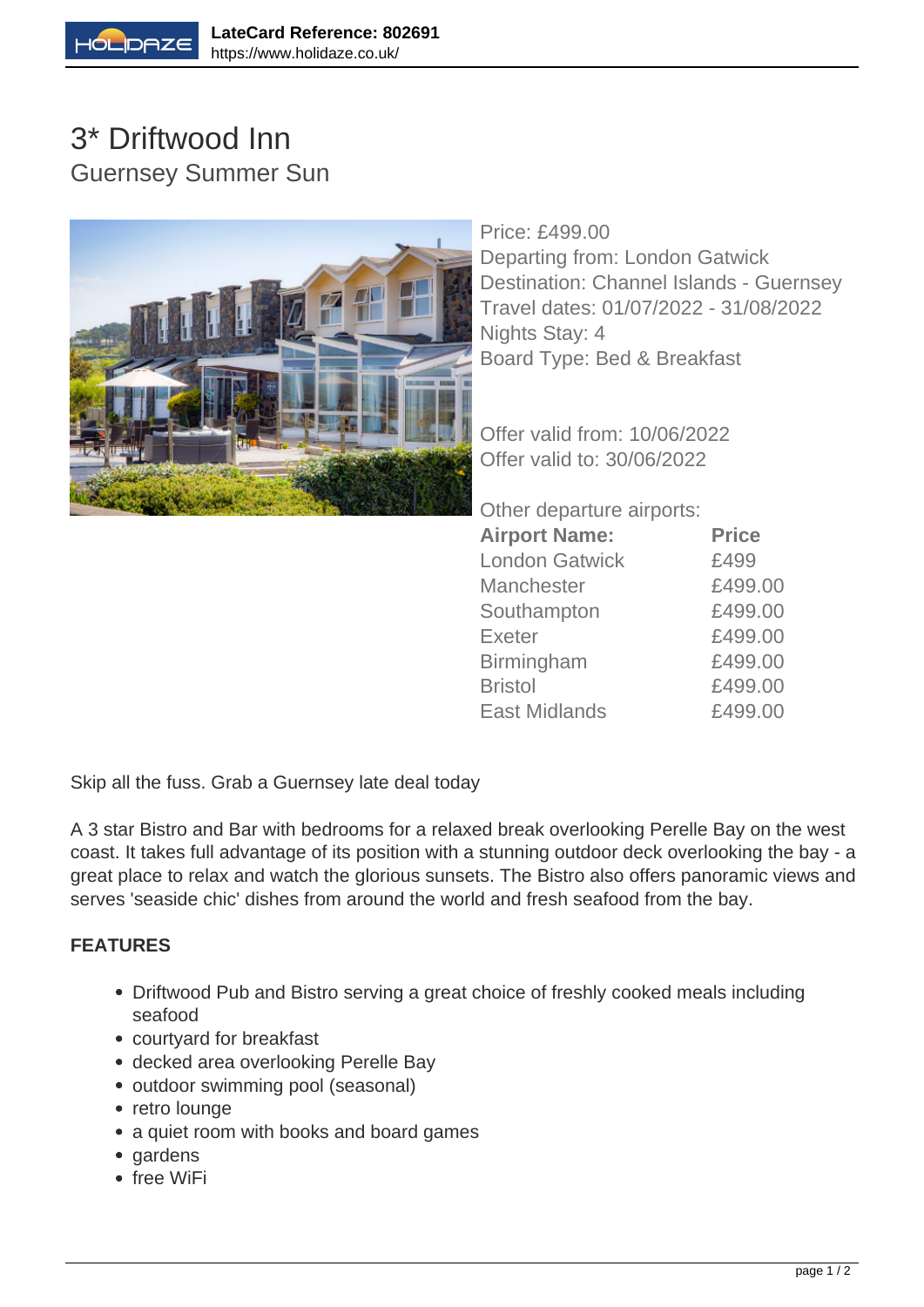

## 3\* Driftwood Inn Guernsey Summer Sun



Price: £499.00 Departing from: London Gatwick Destination: Channel Islands - Guernsey Travel dates: 01/07/2022 - 31/08/2022 Nights Stay: 4 Board Type: Bed & Breakfast

Offer valid from: 10/06/2022 Offer valid to: 30/06/2022

Other departure airports:

| <b>Airport Name:</b>  | <b>Price</b> |
|-----------------------|--------------|
| <b>London Gatwick</b> | £499         |
| <b>Manchester</b>     | £499.00      |
| Southampton           | £499.00      |
| <b>Exeter</b>         | £499.00      |
| <b>Birmingham</b>     | £499.00      |
| <b>Bristol</b>        | £499.00      |
| <b>East Midlands</b>  | £499.00      |

Skip all the fuss. Grab a Guernsey late deal today

A 3 star Bistro and Bar with bedrooms for a relaxed break overlooking Perelle Bay on the west coast. It takes full advantage of its position with a stunning outdoor deck overlooking the bay - a great place to relax and watch the glorious sunsets. The Bistro also offers panoramic views and serves 'seaside chic' dishes from around the world and fresh seafood from the bay.

## **FEATURES**

- Driftwood Pub and Bistro serving a great choice of freshly cooked meals including seafood
- courtyard for breakfast
- decked area overlooking Perelle Bay
- outdoor swimming pool (seasonal)
- retro lounge
- a quiet room with books and board games
- gardens
- free WiFi